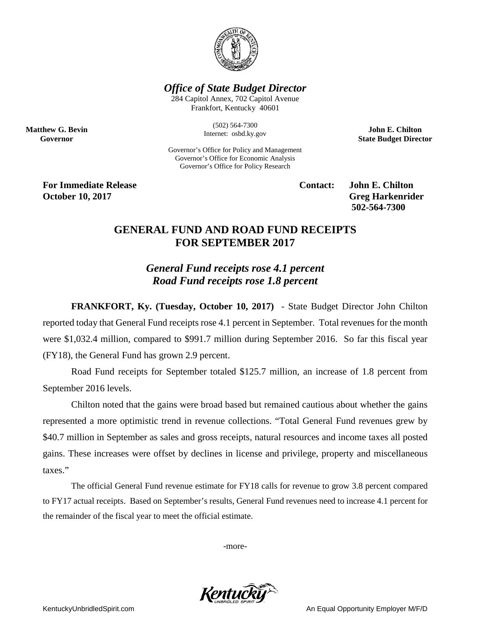

## *Office of State Budget Director*

284 Capitol Annex, 702 Capitol Avenue Frankfort, Kentucky 40601

> (502) 564-7300 Internet: osbd.ky.gov

Governor's Office for Policy and Management Governor's Office for Economic Analysis Governor's Office for Policy Research

**John E. Chilton State Budget Director**

**For Immediate Release Contact: John E. Chilton October 10, 2017** Greg Harkenrider

**Matthew G. Bevin Governor**

**502-564-7300** 

## **GENERAL FUND AND ROAD FUND RECEIPTS FOR SEPTEMBER 2017**

*General Fund receipts rose 4.1 percent Road Fund receipts rose 1.8 percent*

**FRANKFORT, Ky. (Tuesday, October 10, 2017)** - State Budget Director John Chilton reported today that General Fund receipts rose 4.1 percent in September. Total revenues for the month were \$1,032.4 million, compared to \$991.7 million during September 2016. So far this fiscal year (FY18), the General Fund has grown 2.9 percent.

Road Fund receipts for September totaled \$125.7 million, an increase of 1.8 percent from September 2016 levels.

Chilton noted that the gains were broad based but remained cautious about whether the gains represented a more optimistic trend in revenue collections. "Total General Fund revenues grew by \$40.7 million in September as sales and gross receipts, natural resources and income taxes all posted gains. These increases were offset by declines in license and privilege, property and miscellaneous taxes."

The official General Fund revenue estimate for FY18 calls for revenue to grow 3.8 percent compared to FY17 actual receipts. Based on September's results, General Fund revenues need to increase 4.1 percent for the remainder of the fiscal year to meet the official estimate.

-more-



KentuckyUnbridledSpirit.com **An Equal Opportunity Employer M/F/D** An Equal Opportunity Employer M/F/D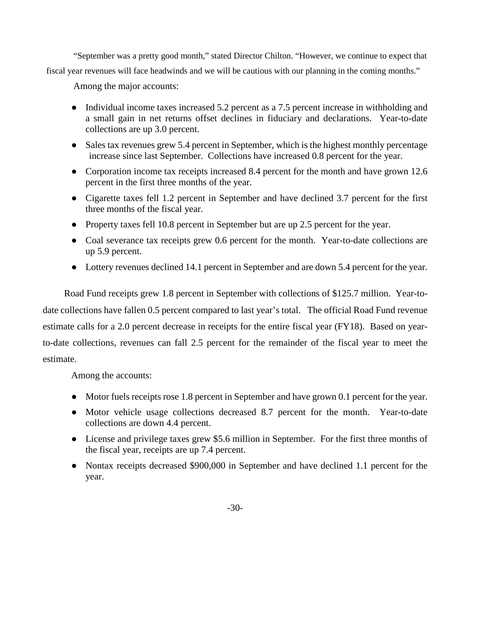"September was a pretty good month," stated Director Chilton. "However, we continue to expect that fiscal year revenues will face headwinds and we will be cautious with our planning in the coming months."

Among the major accounts:

- Individual income taxes increased 5.2 percent as a 7.5 percent increase in withholding and a small gain in net returns offset declines in fiduciary and declarations. Year-to-date collections are up 3.0 percent.
- Sales tax revenues grew 5.4 percent in September, which is the highest monthly percentage increase since last September. Collections have increased 0.8 percent for the year.
- Corporation income tax receipts increased 8.4 percent for the month and have grown 12.6 percent in the first three months of the year.
- Cigarette taxes fell 1.2 percent in September and have declined 3.7 percent for the first three months of the fiscal year.
- Property taxes fell 10.8 percent in September but are up 2.5 percent for the year.
- Coal severance tax receipts grew 0.6 percent for the month. Year-to-date collections are up 5.9 percent.
- Lottery revenues declined 14.1 percent in September and are down 5.4 percent for the year.

Road Fund receipts grew 1.8 percent in September with collections of \$125.7 million. Year-todate collections have fallen 0.5 percent compared to last year's total. The official Road Fund revenue estimate calls for a 2.0 percent decrease in receipts for the entire fiscal year (FY18). Based on yearto-date collections, revenues can fall 2.5 percent for the remainder of the fiscal year to meet the estimate.

Among the accounts:

- Motor fuels receipts rose 1.8 percent in September and have grown 0.1 percent for the year.
- Motor vehicle usage collections decreased 8.7 percent for the month. Year-to-date collections are down 4.4 percent.
- License and privilege taxes grew \$5.6 million in September. For the first three months of the fiscal year, receipts are up 7.4 percent.
- Nontax receipts decreased \$900,000 in September and have declined 1.1 percent for the year.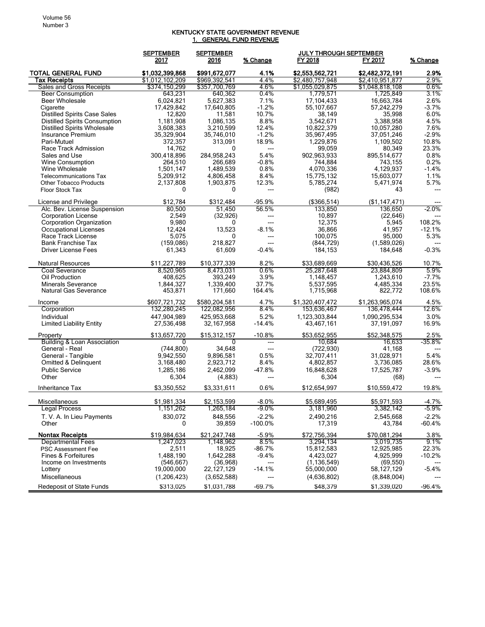## KENTUCKY STATE GOVERNMENT REVENUE 1. GENERAL FUND REVENUE

|                                                  | <b>SEPTEMBER</b> | <b>SEPTEMBER</b> |              | <b>JULY THROUGH SEPTEMBER</b> |                 |          |
|--------------------------------------------------|------------------|------------------|--------------|-------------------------------|-----------------|----------|
|                                                  | 2017             | 2016             | % Change     | FY 2018                       | FY 2017         | % Change |
| <b>TOTAL GENERAL FUND</b>                        | \$1,032,399,868  | \$991,672,077    | 4.1%         | \$2,553,562,721               | \$2,482,372,191 | 2.9%     |
| Tax Receipts                                     | \$1,012,102,209  | \$969,392,541    | 4.4%         | \$2,480,757,948               | \$2,410,951,877 | 2.9%     |
| Sales and Gross Receipts                         | \$374,150,299    | \$357,700.769    | 4.6%         | \$1,055,029,875               | \$1,048,818,108 | $0.6\%$  |
| <b>Beer Consumption</b>                          | 643,231          | 640,362          | 0.4%         | 1,779,571                     | 1,725,849       | $3.1\%$  |
| Beer Wholesale                                   | 6,024,821        | 5,627,383        | 7.1%         | 17,104,433                    | 16,663,784      | 2.6%     |
| Cigarette                                        | 17,429,842       | 17,640,805       | $-1.2%$      | 55,107,667                    | 57,242,279      | $-3.7%$  |
| <b>Distilled Spirits Case Sales</b>              | 12,820           | 11,581           | 10.7%        | 38,149                        | 35,998          | 6.0%     |
| <b>Distilled Spirits Consumption</b>             | 1,181,908        | 1,086,135        | 8.8%         | 3,542,671                     | 3,388,958       | 4.5%     |
| <b>Distilled Spirits Wholesale</b>               | 3,608,383        | 3,210,599        | 12.4%        | 10,822,379                    | 10,057,280      | 7.6%     |
| Insurance Premium                                | 35,329,904       | 35.746.010       | $-1.2%$      | 35,967,495                    | 37,051,246      | $-2.9%$  |
| Pari-Mutuel                                      | 372,357          | 313,091          | 18.9%        | 1,229,876                     | 1,109,502       | 10.8%    |
| Race Track Admission                             | 14,762           | 0                | ---          | 99,059                        | 80,349          | 23.3%    |
| Sales and Use                                    | 300,418,896      | 284,958,243      | 5.4%         | 902,963,933                   | 895,514,677     | 0.8%     |
| Wine Consumption                                 | 264,510          | 266,689          | $-0.8%$      | 744,884                       | 743,155         | 0.2%     |
| Wine Wholesale                                   | 1,501,147        | 1,489,539        | 0.8%<br>8.4% | 4,070,336                     | 4,129,937       | $-1.4%$  |
| <b>Telecommunications Tax</b>                    | 5,209,912        | 4,806,458        |              | 15,775,132                    | 15,603,077      | 1.1%     |
| <b>Other Tobacco Products</b><br>Floor Stock Tax | 2,137,808<br>0   | 1,903,875        | 12.3%        | 5,785,274                     | 5,471,974       | 5.7%     |
|                                                  |                  | 0                | ---          | (982)                         | 43              |          |
| License and Privilege                            | \$12,784         | \$312,484        | $-95.9%$     | (\$366,514)                   | (\$1,147,471)   |          |
| Alc. Bev. License Suspension                     | 80,500           | 51,450           | 56.5%        | 133,850                       | 136,650         | $-2.0%$  |
| <b>Corporation License</b>                       | 2,549            | (32, 926)        | ---          | 10,897                        | (22, 646)       |          |
| <b>Corporation Organization</b>                  | 9,980            | 0                | ---          | 12,375                        | 5,945           | 108.2%   |
| Occupational Licenses                            | 12,424           | 13,523           | $-8.1%$      | 36,866                        | 41,957          | $-12.1%$ |
| Race Track License                               | 5,075            | 0                | ---          | 100,075                       | 95,000          | 5.3%     |
| <b>Bank Franchise Tax</b>                        | (159,086)        | 218,827          |              | (844, 729)                    | (1,589,026)     |          |
| <b>Driver License Fees</b>                       | 61,343           | 61,609           | $-0.4%$      | 184.153                       | 184,648         | $-0.3%$  |
| Natural Resources                                | \$11,227,789     | \$10,377,339     | 8.2%         | \$33,689,669                  | \$30,436,526    | 10.7%    |
| <b>Coal Severance</b>                            | 8,520,965        | 8,473,031        | 0.6%         | 25,287,648                    | 23,884,809      | 5.9%     |
| Oil Production                                   | 408,625          | 393,249          | 3.9%         | 1,148,457                     | 1,243,610       | $-7.7%$  |
| <b>Minerals Severance</b>                        | 1,844,327        | 1,339,400        | 37.7%        | 5,537,595                     | 4,485,334       | 23.5%    |
| Natural Gas Severance                            | 453,871          | 171,660          | 164.4%       | 1,715,968                     | 822,772         | 108.6%   |
| Income                                           | \$607,721,732    | \$580,204,581    | 4.7%         | \$1,320,407,472               | \$1,263,965,074 | 4.5%     |
| Corporation                                      | 132,280,245      | 122,082,956      | 8.4%         | 153,636,467                   | 136,478,444     | 12.6%    |
| Individual                                       | 447,904,989      | 425,953,668      | 5.2%         | 1,123,303,844                 | 1,090,295,534   | 3.0%     |
| <b>Limited Liability Entity</b>                  | 27,536,498       | 32, 167, 958     | $-14.4%$     | 43,467,161                    | 37,191,097      | 16.9%    |
| Property                                         | \$13,657,720     | \$15,312,157     | $-10.8%$     | \$53,652,955                  | \$52,348,575    | 2.5%     |
| <b>Building &amp; Loan Association</b>           | 0                | 0                | ---          | 10,684                        | 16,633          | $-35.8%$ |
| General - Real                                   | (744, 800)       | 34,648           | ---          | (722, 930)                    | 41,168          |          |
| General - Tangible                               | 9,942,550        | 9,896,581        | 0.5%         | 32,707,411                    | 31,028,971      | 5.4%     |
| Omitted & Delinquent                             | 3,168,480        | 2,923,712        | 8.4%         | 4,802,857                     | 3,736,085       | 28.6%    |
| <b>Public Service</b>                            | 1,285,186        | 2,462,099        | $-47.8%$     | 16,848,628                    | 17,525,787      | $-3.9%$  |
| Other                                            | 6,304            | (4,883)          | ---          | 6,304                         | (68)            | ---      |
| Inheritance Tax                                  | \$3,350,552      | \$3,331,611      | 0.6%         | \$12,654,997                  | \$10,559,472    | 19.8%    |
| Miscellaneous                                    | \$1,981,334      | \$2,153,599      | $-8.0%$      | \$5,689,495                   | \$5,971,593     | $-4.7%$  |
| <b>Legal Process</b>                             | 1,151,262        | 1,265,184        | $-9.0\%$     | 3,181,960                     | 3,382,142       | $-5.9\%$ |
| T. V. A. In Lieu Payments                        | 830,072          | 848,556          | $-2.2%$      | 2,490,216                     | 2,545,668       | $-2.2%$  |
| Other                                            | 0                | 39,859           | $-100.0\%$   | 17,319                        | 43,784          | $-60.4%$ |
| <b>Nontax Receipts</b>                           | \$19,984,634     | \$21,247,748     | $-5.9%$      | \$72,756,394                  | \$70,081,294    | 3.8%     |
| <b>Departmental Fees</b>                         | 1,247,023        | 1,148,962        | 8.5%         | 3,294,134                     | 3,019,735       | 9.1%     |
| PSC Assessment Fee                               | 2,511            | 18,925           | $-86.7%$     | 15,812,583                    | 12,925,985      | 22.3%    |
| Fines & Forfeitures                              | 1,488,190        | 1,642,288        | $-9.4%$      | 4,423,027                     | 4,925,999       | $-10.2%$ |
| Income on Investments                            | (546, 667)       | (36,968)         |              | (1, 136, 549)                 | (69, 550)       |          |
| Lottery                                          | 19,000,000       | 22, 127, 129     | $-14.1%$     | 55,000,000                    | 58,127,129      | $-5.4%$  |
| Miscellaneous                                    | (1,206,423)      | (3,652,588)      |              | (4,636,802)                   | (8,848,004)     |          |
|                                                  |                  |                  |              |                               |                 |          |
| <b>Redeposit of State Funds</b>                  | \$313,025        | \$1,031,788      | $-69.7%$     | \$48,379                      | \$1,339,020     | $-96.4%$ |